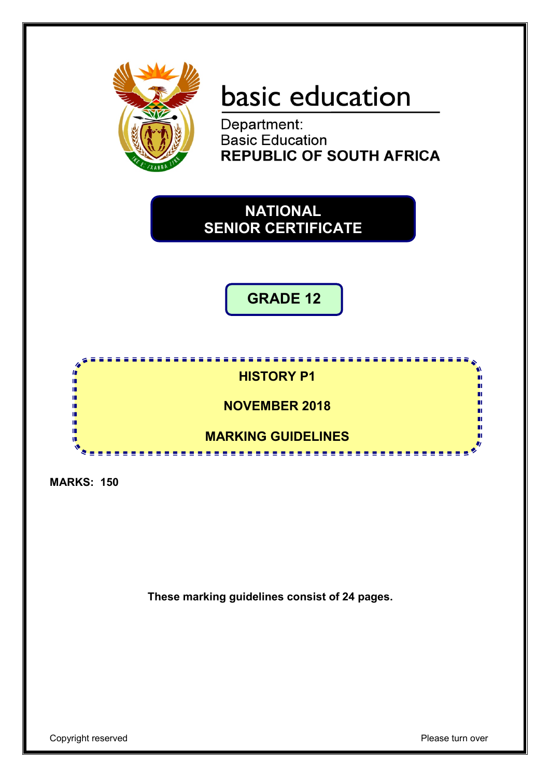

# basic education

Department: **Basic Education REPUBLIC OF SOUTH AFRICA** 

## **NATIONAL SENIOR CERTIFICATE**

**GRADE 12**



**MARKS: 150**

**These marking guidelines consist of 24 pages.**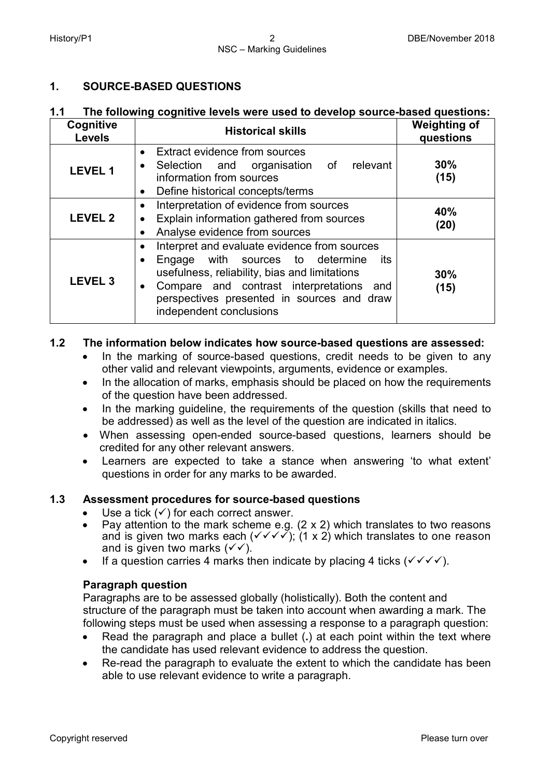## **1. SOURCE-BASED QUESTIONS**

### **1.1 The following cognitive levels were used to develop source-based questions:**

| Cognitive<br><b>Levels</b> | <b>Historical skills</b>                                                                                                                                                                                                                                                                           | <b>Weighting of</b><br>questions |
|----------------------------|----------------------------------------------------------------------------------------------------------------------------------------------------------------------------------------------------------------------------------------------------------------------------------------------------|----------------------------------|
| <b>LEVEL 1</b>             | Extract evidence from sources<br>$\bullet$<br>relevant<br>Selection and organisation of<br>٠<br>information from sources<br>Define historical concepts/terms<br>$\bullet$                                                                                                                          | 30%<br>(15)                      |
| <b>LEVEL 2</b>             | Interpretation of evidence from sources<br>$\bullet$<br>Explain information gathered from sources<br>$\bullet$<br>Analyse evidence from sources<br>$\bullet$                                                                                                                                       | 40%<br>(20)                      |
| LEVEL <sub>3</sub>         | Interpret and evaluate evidence from sources<br>$\bullet$<br>with sources to determine<br>its<br>Engage<br>٠<br>usefulness, reliability, bias and limitations<br>Compare and contrast interpretations<br>and<br>$\bullet$<br>perspectives presented in sources and draw<br>independent conclusions | 30%<br>(15)                      |

## **1.2 The information below indicates how source-based questions are assessed:**

- In the marking of source-based questions, credit needs to be given to any other valid and relevant viewpoints, arguments, evidence or examples.
- In the allocation of marks, emphasis should be placed on how the requirements of the question have been addressed.
- In the marking guideline, the requirements of the question (skills that need to be addressed) as well as the level of the question are indicated in italics.
- When assessing open-ended source-based questions, learners should be credited for any other relevant answers.
- Learners are expected to take a stance when answering 'to what extent' questions in order for any marks to be awarded.

## **1.3 Assessment procedures for source-based questions**

- Use a tick  $(v)$  for each correct answer.
- Pay attention to the mark scheme e.g.  $(2 \times 2)$  which translates to two reasons and is given two marks each ( $\checkmark \checkmark \checkmark$ ); (1 x 2) which translates to one reason and is given two marks  $(\checkmark)$ .
- If a question carries 4 marks then indicate by placing 4 ticks  $(\sqrt{\sqrt{}})$ .

#### **Paragraph question**

Paragraphs are to be assessed globally (holistically). Both the content and structure of the paragraph must be taken into account when awarding a mark. The following steps must be used when assessing a response to a paragraph question:

- Read the paragraph and place a bullet (**.**) at each point within the text where the candidate has used relevant evidence to address the question.
- Re-read the paragraph to evaluate the extent to which the candidate has been able to use relevant evidence to write a paragraph.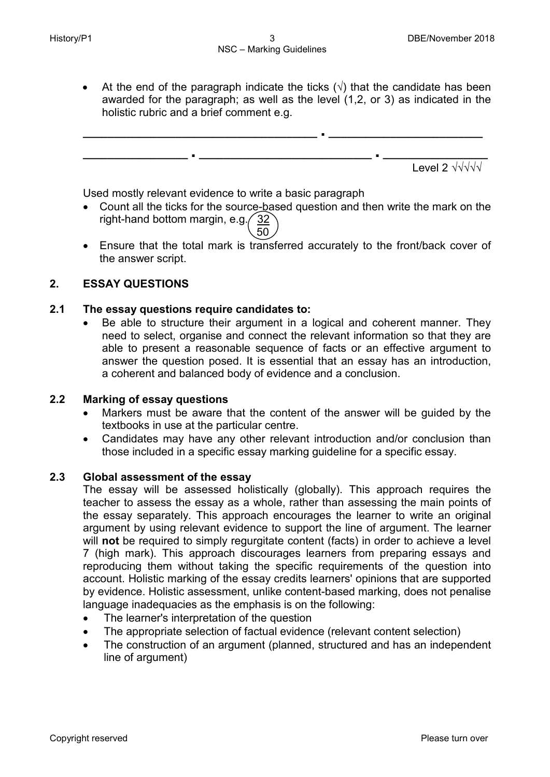• At the end of the paragraph indicate the ticks  $(\sqrt{2})$  that the candidate has been awarded for the paragraph; as well as the level (1,2, or 3) as indicated in the holistic rubric and a brief comment e.g.



Used mostly relevant evidence to write a basic paragraph

- Count all the ticks for the source-based question and then write the mark on the right-hand bottom margin, e.g.  $\frac{32}{3}$
- $\setminus$  50 • Ensure that the total mark is transferred accurately to the front/back cover of the answer script.

## **2. ESSAY QUESTIONS**

## **2.1 The essay questions require candidates to:**

• Be able to structure their argument in a logical and coherent manner. They need to select, organise and connect the relevant information so that they are able to present a reasonable sequence of facts or an effective argument to answer the question posed. It is essential that an essay has an introduction, a coherent and balanced body of evidence and a conclusion.

## **2.2 Marking of essay questions**

- Markers must be aware that the content of the answer will be guided by the textbooks in use at the particular centre.
- Candidates may have any other relevant introduction and/or conclusion than those included in a specific essay marking guideline for a specific essay.

#### **2.3 Global assessment of the essay**

The essay will be assessed holistically (globally). This approach requires the teacher to assess the essay as a whole, rather than assessing the main points of the essay separately. This approach encourages the learner to write an original argument by using relevant evidence to support the line of argument. The learner will **not** be required to simply regurgitate content (facts) in order to achieve a level 7 (high mark). This approach discourages learners from preparing essays and reproducing them without taking the specific requirements of the question into account. Holistic marking of the essay credits learners' opinions that are supported by evidence. Holistic assessment, unlike content-based marking, does not penalise language inadequacies as the emphasis is on the following:

- The learner's interpretation of the question
- The appropriate selection of factual evidence (relevant content selection)
- The construction of an argument (planned, structured and has an independent line of argument)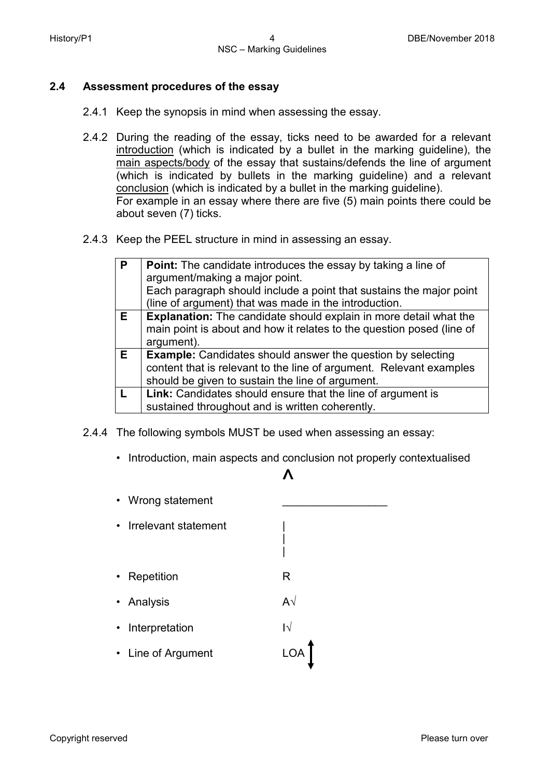### **2.4 Assessment procedures of the essay**

- 2.4.1 Keep the synopsis in mind when assessing the essay.
- 2.4.2 During the reading of the essay, ticks need to be awarded for a relevant introduction (which is indicated by a bullet in the marking guideline), the main aspects/body of the essay that sustains/defends the line of argument (which is indicated by bullets in the marking guideline) and a relevant conclusion (which is indicated by a bullet in the marking guideline). For example in an essay where there are five (5) main points there could be about seven (7) ticks.
- 2.4.3 Keep the PEEL structure in mind in assessing an essay.

| P  | <b>Point:</b> The candidate introduces the essay by taking a line of<br>argument/making a major point.<br>Each paragraph should include a point that sustains the major point<br>(line of argument) that was made in the introduction. |
|----|----------------------------------------------------------------------------------------------------------------------------------------------------------------------------------------------------------------------------------------|
| E. | <b>Explanation:</b> The candidate should explain in more detail what the<br>main point is about and how it relates to the question posed (line of<br>argument).                                                                        |
| E. | <b>Example:</b> Candidates should answer the question by selecting<br>content that is relevant to the line of argument. Relevant examples<br>should be given to sustain the line of argument.                                          |
|    | Link: Candidates should ensure that the line of argument is<br>sustained throughout and is written coherently.                                                                                                                         |

- 2.4.4 The following symbols MUST be used when assessing an essay:
	- Introduction, main aspects and conclusion not properly contextualised

## $\mathcal{L}$

| |

- Wrong statement
- Irrelevant statement |
- Repetition **R**
- Analysis A√
- Interpretation I√
- Line of Argument LOA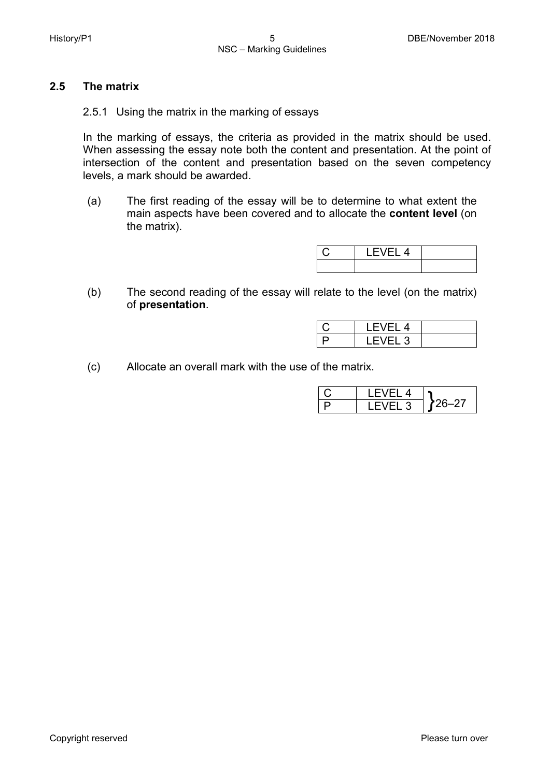## **2.5 The matrix**

2.5.1 Using the matrix in the marking of essays

In the marking of essays, the criteria as provided in the matrix should be used. When assessing the essay note both the content and presentation. At the point of intersection of the content and presentation based on the seven competency levels, a mark should be awarded.

(a) The first reading of the essay will be to determine to what extent the main aspects have been covered and to allocate the **content level** (on the matrix).

| I ⊢VI<br>H 4 |  |
|--------------|--|
|              |  |

(b) The second reading of the essay will relate to the level (on the matrix) of **presentation**.

| <b>LEVEL 4</b>         |  |
|------------------------|--|
| $\overline{E}$<br>EL 3 |  |

(c) Allocate an overall mark with the use of the matrix.

|  | IFVFI4  |  |
|--|---------|--|
|  | LEVEL 3 |  |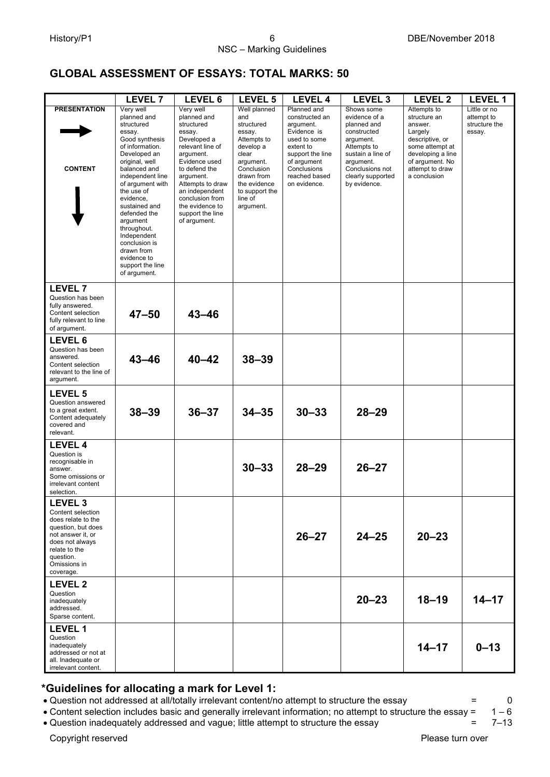## **GLOBAL ASSESSMENT OF ESSAYS: TOTAL MARKS: 50**

|                                                                                                                                                                                        | LEVEL <sub>7</sub>                                                                                                                                                                                                                                                                                                                                                      | LEVEL 6                                                                                                                                                                                                                                                         | <b>LEVEL 5</b>                                                                                                                                                                      | <b>LEVEL 4</b>                                                                                                                                                            | LEVEL <sub>3</sub>                                                                                                                                                              | LEVEL 2                                                                                                                                                            | LEVEL 1                                               |
|----------------------------------------------------------------------------------------------------------------------------------------------------------------------------------------|-------------------------------------------------------------------------------------------------------------------------------------------------------------------------------------------------------------------------------------------------------------------------------------------------------------------------------------------------------------------------|-----------------------------------------------------------------------------------------------------------------------------------------------------------------------------------------------------------------------------------------------------------------|-------------------------------------------------------------------------------------------------------------------------------------------------------------------------------------|---------------------------------------------------------------------------------------------------------------------------------------------------------------------------|---------------------------------------------------------------------------------------------------------------------------------------------------------------------------------|--------------------------------------------------------------------------------------------------------------------------------------------------------------------|-------------------------------------------------------|
| <b>PRESENTATION</b><br><b>CONTENT</b>                                                                                                                                                  | Very well<br>planned and<br>structured<br>essay.<br>Good synthesis<br>of information.<br>Developed an<br>original, well<br>balanced and<br>independent line<br>of argument with<br>the use of<br>evidence,<br>sustained and<br>defended the<br>argument<br>throughout.<br>Independent<br>conclusion is<br>drawn from<br>evidence to<br>support the line<br>of argument. | Very well<br>planned and<br>structured<br>essay.<br>Developed a<br>relevant line of<br>argument.<br>Evidence used<br>to defend the<br>argument.<br>Attempts to draw<br>an independent<br>conclusion from<br>the evidence to<br>support the line<br>of argument. | Well planned<br>and<br>structured<br>essay.<br>Attempts to<br>develop a<br>clear<br>argument.<br>Conclusion<br>drawn from<br>the evidence<br>to support the<br>line of<br>argument. | Planned and<br>constructed an<br>argument.<br>Evidence is<br>used to some<br>extent to<br>support the line<br>of argument<br>Conclusions<br>reached based<br>on evidence. | Shows some<br>evidence of a<br>planned and<br>constructed<br>argument.<br>Attempts to<br>sustain a line of<br>argument.<br>Conclusions not<br>clearly supported<br>by evidence. | Attempts to<br>structure an<br>answer.<br>Largely<br>descriptive, or<br>some attempt at<br>developing a line<br>of argument. No<br>attempt to draw<br>a conclusion | Little or no<br>attempt to<br>structure the<br>essay. |
| <b>LEVEL 7</b><br>Question has been<br>fully answered.<br>Content selection<br>fully relevant to line<br>of argument.                                                                  | $47 - 50$                                                                                                                                                                                                                                                                                                                                                               | $43 - 46$                                                                                                                                                                                                                                                       |                                                                                                                                                                                     |                                                                                                                                                                           |                                                                                                                                                                                 |                                                                                                                                                                    |                                                       |
| LEVEL 6<br>Question has been<br>answered.<br>Content selection<br>relevant to the line of<br>argument.                                                                                 | $43 - 46$                                                                                                                                                                                                                                                                                                                                                               | $40 - 42$                                                                                                                                                                                                                                                       | $38 - 39$                                                                                                                                                                           |                                                                                                                                                                           |                                                                                                                                                                                 |                                                                                                                                                                    |                                                       |
| <b>LEVEL 5</b><br>Question answered<br>to a great extent.<br>Content adequately<br>covered and<br>relevant.                                                                            | $38 - 39$                                                                                                                                                                                                                                                                                                                                                               | $36 - 37$                                                                                                                                                                                                                                                       | $34 - 35$                                                                                                                                                                           | $30 - 33$                                                                                                                                                                 | $28 - 29$                                                                                                                                                                       |                                                                                                                                                                    |                                                       |
| <b>LEVEL 4</b><br>Question is<br>recognisable in<br>answer.<br>Some omissions or<br>irrelevant content<br>selection.                                                                   |                                                                                                                                                                                                                                                                                                                                                                         |                                                                                                                                                                                                                                                                 | $30 - 33$                                                                                                                                                                           | $28 - 29$                                                                                                                                                                 | $26 - 27$                                                                                                                                                                       |                                                                                                                                                                    |                                                       |
| LEVEL <sub>3</sub><br>Content selection<br>does relate to the<br>question, but does<br>not answer it, or<br>does not always<br>relate to the<br>question.<br>Omissions in<br>coverage. |                                                                                                                                                                                                                                                                                                                                                                         |                                                                                                                                                                                                                                                                 |                                                                                                                                                                                     | $26 - 27$                                                                                                                                                                 | $24 - 25$                                                                                                                                                                       | $20 - 23$                                                                                                                                                          |                                                       |
| <b>LEVEL 2</b><br>Question<br>inadequately<br>addressed.<br>Sparse content.                                                                                                            |                                                                                                                                                                                                                                                                                                                                                                         |                                                                                                                                                                                                                                                                 |                                                                                                                                                                                     |                                                                                                                                                                           | $20 - 23$                                                                                                                                                                       | $18 - 19$                                                                                                                                                          | $14 - 17$                                             |
| <b>LEVEL 1</b><br>Question<br>inadequately<br>addressed or not at<br>all. Inadequate or<br>irrelevant content.                                                                         |                                                                                                                                                                                                                                                                                                                                                                         |                                                                                                                                                                                                                                                                 |                                                                                                                                                                                     |                                                                                                                                                                           |                                                                                                                                                                                 | $14 - 17$                                                                                                                                                          | $0 - 13$                                              |

## **\*Guidelines for allocating a mark for Level 1:**

• Question not addressed at all/totally irrelevant content/no attempt to structure the essay  $= 0$ <br>• Content selection includes basic and generally irrelevant information: no attempt to structure the essay =  $1-6$ 

• Content selection includes basic and generally irrelevant information; no attempt to structure the essay =

• Question inadequately addressed and vague; little attempt to structure the essay = 7-13

Copyright reserved **Please** turn over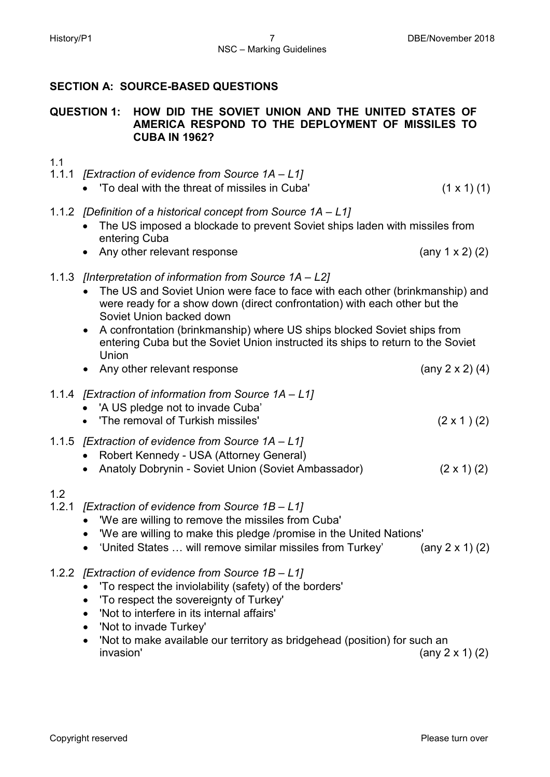## **SECTION A: SOURCE-BASED QUESTIONS**

## **QUESTION 1: HOW DID THE SOVIET UNION AND THE UNITED STATES OF AMERICA RESPOND TO THE DEPLOYMENT OF MISSILES TO CUBA IN 1962?**

- 1.1
- 1.1.1 *[Extraction of evidence from Source 1A – L1]*
	- To deal with the threat of missiles in Cuba'  $(1 \times 1)$  (1)
- 1.1.2 *[Definition of a historical concept from Source 1A – L1]*
	- The US imposed a blockade to prevent Soviet ships laden with missiles from entering Cuba
	- Any other relevant response (any 1 x 2) (2)

## 1.1.3 *[Interpretation of information from Source 1A – L2]*

- The US and Soviet Union were face to face with each other (brinkmanship) and were ready for a show down (direct confrontation) with each other but the Soviet Union backed down
- A confrontation (brinkmanship) where US ships blocked Soviet ships from entering Cuba but the Soviet Union instructed its ships to return to the Soviet Union
- Any other relevant response (any 2 x 2) (4)
- 1.1.4 *[Extraction of information from Source 1A – L1]*
	- 'A US pledge not to invade Cuba'
	- The removal of Turkish missiles'  $(2 \times 1)$  (2)
- 1.1.5 *[Extraction of evidence from Source 1A – L1]*
	- Robert Kennedy USA (Attorney General)
	- Anatoly Dobrynin Soviet Union (Soviet Ambassador) (2 x 1) (2)

## 1.2

- 1.2.1 *[Extraction of evidence from Source 1B – L1]*
	- 'We are willing to remove the missiles from Cuba'
	- 'We are willing to make this pledge /promise in the United Nations'
	- 'United States … will remove similar missiles from Turkey' (any 2 x 1) (2)
- 1.2.2 *[Extraction of evidence from Source 1B – L1]*
	- 'To respect the inviolability (safety) of the borders'
	- 'To respect the sovereignty of Turkey'
	- 'Not to interfere in its internal affairs'
	- 'Not to invade Turkey'
	- 'Not to make available our territory as bridgehead (position) for such an  $invasion'$  (any 2 x 1) (2)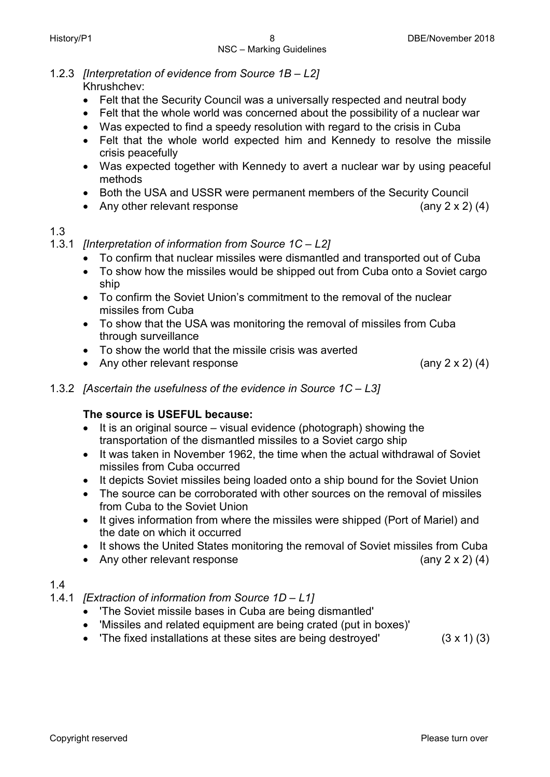1.2.3 *[Interpretation of evidence from Source 1B – L2]* Khrushchev:

- Felt that the Security Council was a universally respected and neutral body
- Felt that the whole world was concerned about the possibility of a nuclear war
- Was expected to find a speedy resolution with regard to the crisis in Cuba
- Felt that the whole world expected him and Kennedy to resolve the missile crisis peacefully
- Was expected together with Kennedy to avert a nuclear war by using peaceful methods
- Both the USA and USSR were permanent members of the Security Council
- Any other relevant response (any 2 x 2) (4)

## 1.3

- 1.3.1 *[Interpretation of information from Source 1C – L2]*
	- To confirm that nuclear missiles were dismantled and transported out of Cuba
	- To show how the missiles would be shipped out from Cuba onto a Soviet cargo ship
	- To confirm the Soviet Union's commitment to the removal of the nuclear missiles from Cuba
	- To show that the USA was monitoring the removal of missiles from Cuba through surveillance
	- To show the world that the missile crisis was averted
	- Any other relevant response (any 2 x 2) (4)

1.3.2 *[Ascertain the usefulness of the evidence in Source 1C – L3]*

## **The source is USEFUL because:**

- It is an original source visual evidence (photograph) showing the transportation of the dismantled missiles to a Soviet cargo ship
- It was taken in November 1962, the time when the actual withdrawal of Soviet missiles from Cuba occurred
- It depicts Soviet missiles being loaded onto a ship bound for the Soviet Union
- The source can be corroborated with other sources on the removal of missiles from Cuba to the Soviet Union
- It gives information from where the missiles were shipped (Port of Mariel) and the date on which it occurred
- It shows the United States monitoring the removal of Soviet missiles from Cuba
- Any other relevant response (any 2 x 2) (4)

## 1.4

- 1.4.1 *[Extraction of information from Source 1D – L1]*
	- 'The Soviet missile bases in Cuba are being dismantled'
	- 'Missiles and related equipment are being crated (put in boxes)'
	- The fixed installations at these sites are being destroyed'  $(3 \times 1)$  (3)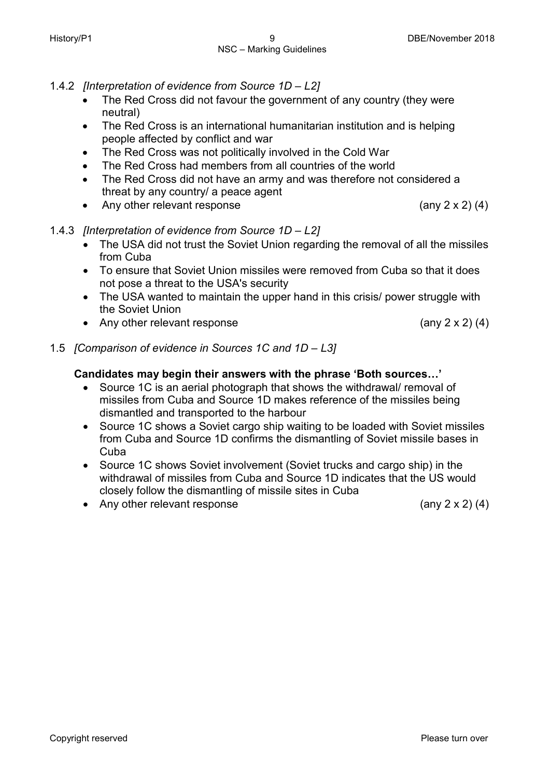- 1.4.2 *[Interpretation of evidence from Source 1D – L2]*
	- The Red Cross did not favour the government of any country (they were neutral)
	- The Red Cross is an international humanitarian institution and is helping people affected by conflict and war
	- The Red Cross was not politically involved in the Cold War
	- The Red Cross had members from all countries of the world
	- The Red Cross did not have an army and was therefore not considered a threat by any country/ a peace agent
	- Any other relevant response  $(\text{any } 2 \times 2) (4)$
- 1.4.3 *[Interpretation of evidence from Source 1D – L2]*
	- The USA did not trust the Soviet Union regarding the removal of all the missiles from Cuba
	- To ensure that Soviet Union missiles were removed from Cuba so that it does not pose a threat to the USA's security
	- The USA wanted to maintain the upper hand in this crisis/ power struggle with the Soviet Union
	- Any other relevant response (any 2 x 2) (4)
- 1.5 *[Comparison of evidence in Sources 1C and 1D – L3]*

## **Candidates may begin their answers with the phrase 'Both sources…'**

- Source 1C is an aerial photograph that shows the withdrawal/ removal of missiles from Cuba and Source 1D makes reference of the missiles being dismantled and transported to the harbour
- Source 1C shows a Soviet cargo ship waiting to be loaded with Soviet missiles from Cuba and Source 1D confirms the dismantling of Soviet missile bases in Cuba
- Source 1C shows Soviet involvement (Soviet trucks and cargo ship) in the withdrawal of missiles from Cuba and Source 1D indicates that the US would closely follow the dismantling of missile sites in Cuba
- Any other relevant response (any 2 x 2) (4)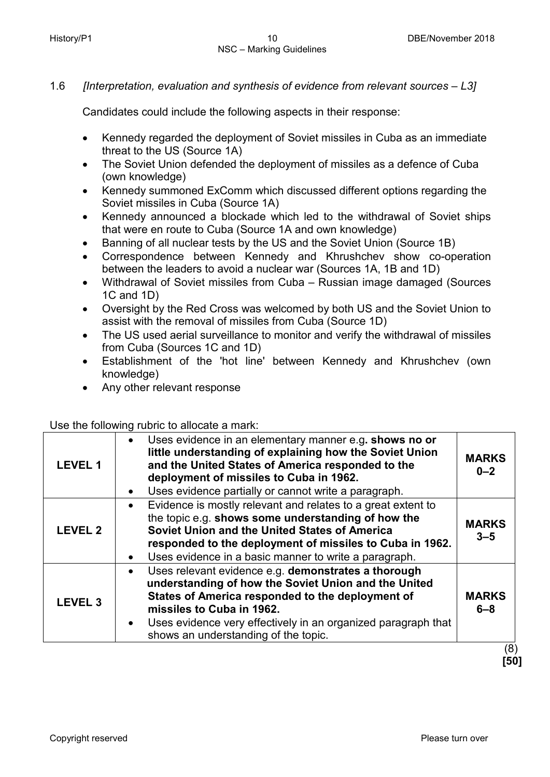## 1.6 *[Interpretation, evaluation and synthesis of evidence from relevant sources – L3]*

Candidates could include the following aspects in their response:

- Kennedy regarded the deployment of Soviet missiles in Cuba as an immediate threat to the US (Source 1A)
- The Soviet Union defended the deployment of missiles as a defence of Cuba (own knowledge)
- Kennedy summoned ExComm which discussed different options regarding the Soviet missiles in Cuba (Source 1A)
- Kennedy announced a blockade which led to the withdrawal of Soviet ships that were en route to Cuba (Source 1A and own knowledge)
- Banning of all nuclear tests by the US and the Soviet Union (Source 1B)
- Correspondence between Kennedy and Khrushchev show co-operation between the leaders to avoid a nuclear war (Sources 1A, 1B and 1D)
- Withdrawal of Soviet missiles from Cuba Russian image damaged (Sources 1C and 1D)
- Oversight by the Red Cross was welcomed by both US and the Soviet Union to assist with the removal of missiles from Cuba (Source 1D)
- The US used aerial surveillance to monitor and verify the withdrawal of missiles from Cuba (Sources 1C and 1D)
- Establishment of the 'hot line' between Kennedy and Khrushchev (own knowledge)
- Any other relevant response

Use the following rubric to allocate a mark:

| <b>LEVEL 1</b> | Uses evidence in an elementary manner e.g. shows no or<br>$\bullet$<br>little understanding of explaining how the Soviet Union<br>and the United States of America responded to the<br>deployment of missiles to Cuba in 1962.<br>Uses evidence partially or cannot write a paragraph.<br>$\bullet$                             | <b>MARKS</b><br>$0 - 2$        |
|----------------|---------------------------------------------------------------------------------------------------------------------------------------------------------------------------------------------------------------------------------------------------------------------------------------------------------------------------------|--------------------------------|
| <b>LEVEL 2</b> | Evidence is mostly relevant and relates to a great extent to<br>$\bullet$<br>the topic e.g. shows some understanding of how the<br>Soviet Union and the United States of America<br>responded to the deployment of missiles to Cuba in 1962.<br>Uses evidence in a basic manner to write a paragraph.<br>$\bullet$              | <b>MARKS</b><br>$3 - 5$        |
| <b>LEVEL 3</b> | Uses relevant evidence e.g. demonstrates a thorough<br>$\bullet$<br>understanding of how the Soviet Union and the United<br>States of America responded to the deployment of<br>missiles to Cuba in 1962.<br>Uses evidence very effectively in an organized paragraph that<br>$\bullet$<br>shows an understanding of the topic. | <b>MARKS</b><br>$6 - 8$<br>(0) |

 (8)  **[50]**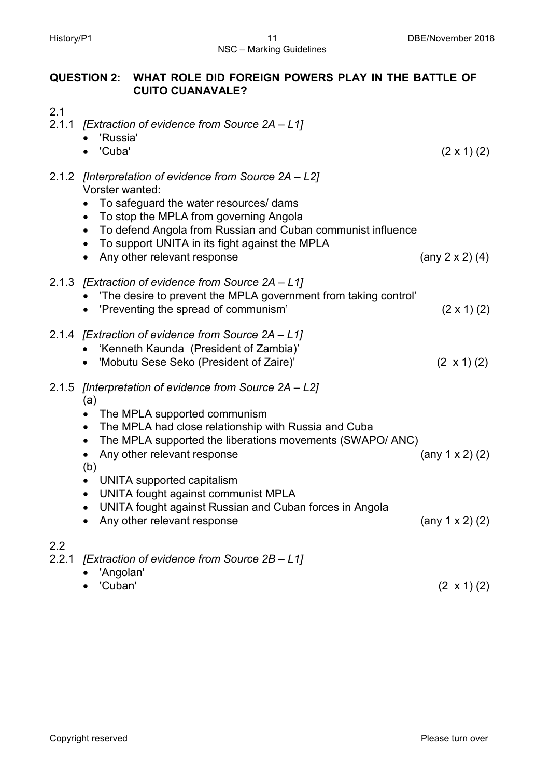## **QUESTION 2: WHAT ROLE DID FOREIGN POWERS PLAY IN THE BATTLE OF**

**CUITO CUANAVALE?**

| 2.1          | 2.1.1 [Extraction of evidence from Source 2A - L1]                                                                                                                                                                                                                                                                                                                |                         |
|--------------|-------------------------------------------------------------------------------------------------------------------------------------------------------------------------------------------------------------------------------------------------------------------------------------------------------------------------------------------------------------------|-------------------------|
|              | 'Russia'<br>'Cuba'                                                                                                                                                                                                                                                                                                                                                | $(2 \times 1)$ (2)      |
|              | 2.1.2 [Interpretation of evidence from Source 2A – L2]<br>Vorster wanted:<br>To safeguard the water resources/ dams<br>To stop the MPLA from governing Angola<br>$\bullet$<br>To defend Angola from Russian and Cuban communist influence<br>$\bullet$<br>To support UNITA in its fight against the MPLA<br>$\bullet$<br>Any other relevant response<br>$\bullet$ | (any $2 \times 2$ ) (4) |
|              | 2.1.3 [Extraction of evidence from Source 2A – L1]<br>'The desire to prevent the MPLA government from taking control'<br>'Preventing the spread of communism'                                                                                                                                                                                                     | $(2 \times 1)$ (2)      |
|              | 2.1.4 [Extraction of evidence from Source 2A – L1]<br>'Kenneth Kaunda (President of Zambia)'<br>'Mobutu Sese Seko (President of Zaire)'                                                                                                                                                                                                                           | $(2 \times 1) (2)$      |
|              | 2.1.5 [Interpretation of evidence from Source 2A – L2]<br>(a)<br>The MPLA supported communism<br>The MPLA had close relationship with Russia and Cuba<br>$\bullet$<br>The MPLA supported the liberations movements (SWAPO/ANC)<br>$\bullet$<br>Any other relevant response<br>(b)                                                                                 | (any $1 \times 2$ ) (2) |
|              | UNITA supported capitalism<br>UNITA fought against communist MPLA<br>$\bullet$<br>UNITA fought against Russian and Cuban forces in Angola<br>Any other relevant response                                                                                                                                                                                          | (any $1 \times 2$ ) (2) |
| 2.2<br>2.2.1 | [Extraction of evidence from Source 2B - L1]<br>'Angolan'<br>'Cuban'                                                                                                                                                                                                                                                                                              | $(2 \times 1)$ (2)      |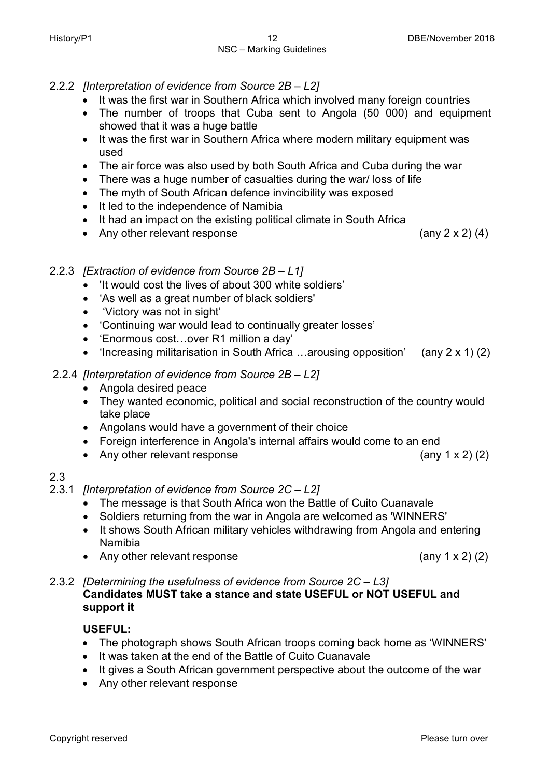- 2.2.2 *[Interpretation of evidence from Source 2B – L2]*
	- It was the first war in Southern Africa which involved many foreign countries
	- The number of troops that Cuba sent to Angola (50 000) and equipment showed that it was a huge battle
	- It was the first war in Southern Africa where modern military equipment was used
	- The air force was also used by both South Africa and Cuba during the war
	- There was a huge number of casualties during the war/ loss of life
	- The myth of South African defence invincibility was exposed
	- It led to the independence of Namibia
	- It had an impact on the existing political climate in South Africa
	- Any other relevant response (any 2 x 2) (4)

## 2.2.3 *[Extraction of evidence from Source 2B – L1]*

- 'It would cost the lives of about 300 white soldiers'
- 'As well as a great number of black soldiers'
- 'Victory was not in sight'
- 'Continuing war would lead to continually greater losses'
- 'Enormous cost…over R1 million a day'
- 'Increasing militarisation in South Africa …arousing opposition' (any 2 x 1) (2)

## 2.2.4 *[Interpretation of evidence from Source 2B – L2]*

- Angola desired peace
- They wanted economic, political and social reconstruction of the country would take place
- Angolans would have a government of their choice
- Foreign interference in Angola's internal affairs would come to an end
- Any other relevant response (any 1 x 2) (2)

## 2.3

### 2.3.1 *[Interpretation of evidence from Source 2C – L2]*

- The message is that South Africa won the Battle of Cuito Cuanavale
- Soldiers returning from the war in Angola are welcomed as 'WINNERS'
- It shows South African military vehicles withdrawing from Angola and entering Namibia
- Any other relevant response (any 1 x 2) (2)
- 2.3.2 *[Determining the usefulness of evidence from Source 2C – L3]* **Candidates MUST take a stance and state USEFUL or NOT USEFUL and support it**

#### **USEFUL:**

- The photograph shows South African troops coming back home as 'WINNERS'
- It was taken at the end of the Battle of Cuito Cuanavale
- It gives a South African government perspective about the outcome of the war
- Any other relevant response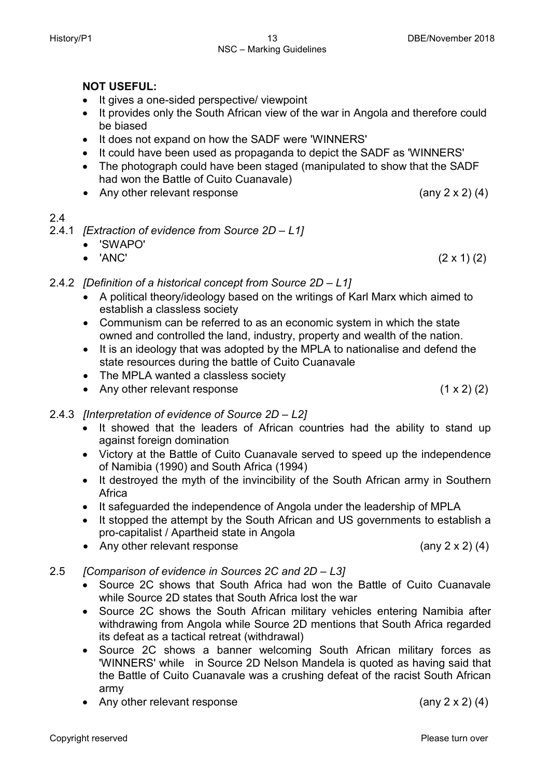## **NOT USEFUL:**

- It gives a one-sided perspective/ viewpoint
- It provides only the South African view of the war in Angola and therefore could be biased
- It does not expand on how the SADF were 'WINNERS'
- It could have been used as propaganda to depict the SADF as 'WINNERS'
- The photograph could have been staged (manipulated to show that the SADF had won the Battle of Cuito Cuanavale)
- Any other relevant response (any 2 x 2) (4)

## 2.4

- 2.4.1 *[Extraction of evidence from Source 2D – L1]*
	- 'SWAPO'
	- 'ANC'  $(2 \times 1)$  (2)
- 2.4.2 *[Definition of a historical concept from Source 2D – L1]*
	- A political theory/ideology based on the writings of Karl Marx which aimed to establish a classless society
	- Communism can be referred to as an economic system in which the state owned and controlled the land, industry, property and wealth of the nation.
	- It is an ideology that was adopted by the MPLA to nationalise and defend the state resources during the battle of Cuito Cuanavale
	- The MPLA wanted a classless society
	- Any other relevant response (1 x 2) (2)

## 2.4.3 *[Interpretation of evidence of Source 2D – L2]*

- It showed that the leaders of African countries had the ability to stand up against foreign domination
- Victory at the Battle of Cuito Cuanavale served to speed up the independence of Namibia (1990) and South Africa (1994)
- It destroyed the myth of the invincibility of the South African army in Southern Africa
- It safeguarded the independence of Angola under the leadership of MPLA
- It stopped the attempt by the South African and US governments to establish a pro-capitalist / Apartheid state in Angola
- Any other relevant response (any 2 x 2) (4)
- 2.5 *[Comparison of evidence in Sources 2C and 2D – L3]*
	- Source 2C shows that South Africa had won the Battle of Cuito Cuanavale while Source 2D states that South Africa lost the war
	- Source 2C shows the South African military vehicles entering Namibia after withdrawing from Angola while Source 2D mentions that South Africa regarded its defeat as a tactical retreat (withdrawal)
	- Source 2C shows a banner welcoming South African military forces as 'WINNERS' while in Source 2D Nelson Mandela is quoted as having said that the Battle of Cuito Cuanavale was a crushing defeat of the racist South African army
	- Any other relevant response (any 2 x 2) (4)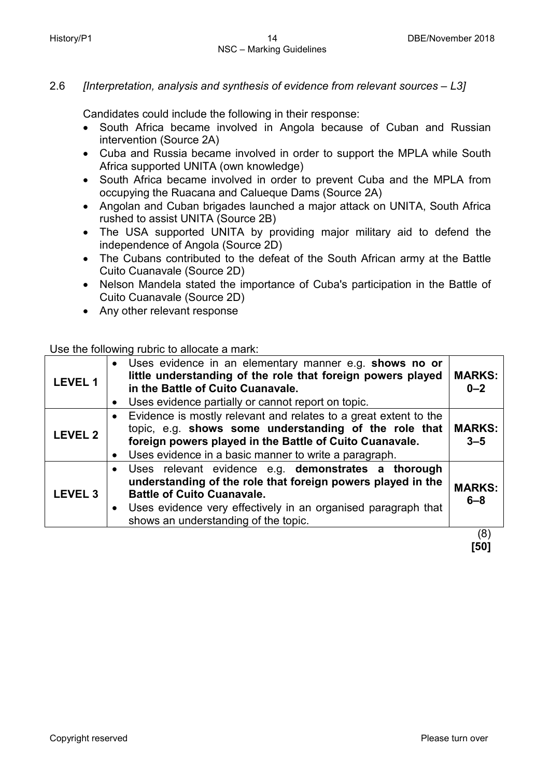## 2.6 *[Interpretation, analysis and synthesis of evidence from relevant sources – L3]*

Candidates could include the following in their response:

- South Africa became involved in Angola because of Cuban and Russian intervention (Source 2A)
- Cuba and Russia became involved in order to support the MPLA while South Africa supported UNITA (own knowledge)
- South Africa became involved in order to prevent Cuba and the MPLA from occupying the Ruacana and Calueque Dams (Source 2A)
- Angolan and Cuban brigades launched a major attack on UNITA, South Africa rushed to assist UNITA (Source 2B)
- The USA supported UNITA by providing major military aid to defend the independence of Angola (Source 2D)
- The Cubans contributed to the defeat of the South African army at the Battle Cuito Cuanavale (Source 2D)
- Nelson Mandela stated the importance of Cuba's participation in the Battle of Cuito Cuanavale (Source 2D)
- Any other relevant response

## Use the following rubric to allocate a mark:

| <b>LEVEL 1</b> | • Uses evidence in an elementary manner e.g. shows no or<br>little understanding of the role that foreign powers played<br>in the Battle of Cuito Cuanavale.<br>• Uses evidence partially or cannot report on topic.                                                 | <b>MARKS:</b><br>$0 - 2$ |
|----------------|----------------------------------------------------------------------------------------------------------------------------------------------------------------------------------------------------------------------------------------------------------------------|--------------------------|
| <b>LEVEL 2</b> | • Evidence is mostly relevant and relates to a great extent to the<br>topic, e.g. shows some understanding of the role that<br>foreign powers played in the Battle of Cuito Cuanavale.<br>Uses evidence in a basic manner to write a paragraph.<br>$\bullet$         | <b>MARKS:</b><br>$3 - 5$ |
| <b>LEVEL 3</b> | • Uses relevant evidence e.g. demonstrates a thorough<br>understanding of the role that foreign powers played in the<br><b>Battle of Cuito Cuanavale.</b><br>• Uses evidence very effectively in an organised paragraph that<br>shows an understanding of the topic. | <b>MARKS:</b><br>$6 - 8$ |
|                |                                                                                                                                                                                                                                                                      | ′8′                      |

**[50]**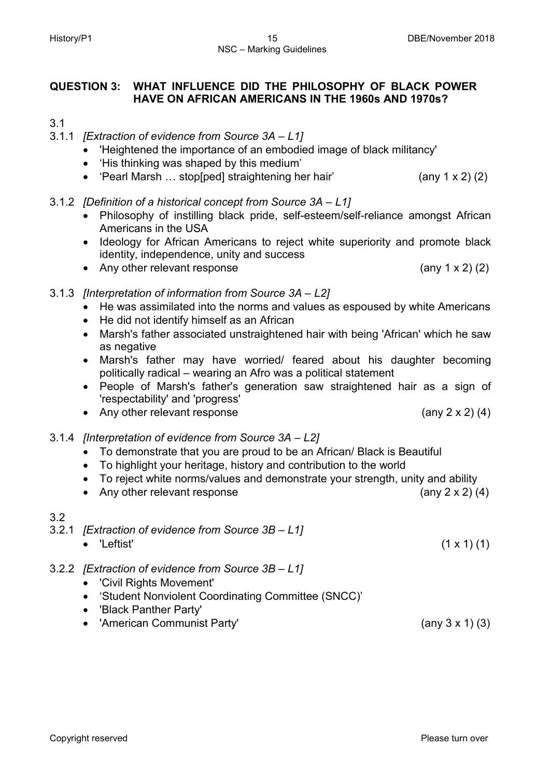## **QUESTION 3: WHAT INFLUENCE DID THE PHILOSOPHY OF BLACK POWER HAVE ON AFRICAN AMERICANS IN THE 1960s AND 1970s?**

- 3.1
- 3.1.1 *[Extraction of evidence from Source 3A – L1]*
	- 'Heightened the importance of an embodied image of black militancy'
	- 'His thinking was shaped by this medium'
	- 'Pearl Marsh … stop[ped] straightening her hair' (any 1 x 2) (2)
- 3.1.2 *[Definition of a historical concept from Source 3A – L1]*
	- Philosophy of instilling black pride, self-esteem/self-reliance amongst African Americans in the USA
	- Ideology for African Americans to reject white superiority and promote black identity, independence, unity and success
	- Any other relevant response (any 1 x 2) (2)
- 3.1.3 *[Interpretation of information from Source 3A – L2]* 
	- He was assimilated into the norms and values as espoused by white Americans
	- He did not identify himself as an African
	- Marsh's father associated unstraightened hair with being 'African' which he saw as negative
	- Marsh's father may have worried/ feared about his daughter becoming politically radical – wearing an Afro was a political statement
	- People of Marsh's father's generation saw straightened hair as a sign of 'respectability' and 'progress'
	- Any other relevant response (any 2 x 2) (4)
- 3.1.4 *[Interpretation of evidence from Source 3A – L2]*
	- To demonstrate that you are proud to be an African/ Black is Beautiful
	- To highlight your heritage, history and contribution to the world
	- To reject white norms/values and demonstrate your strength, unity and ability
	- Any other relevant response (any 2 x 2) (4)

## 3.2

- 3.2.1 *[Extraction of evidence from Source 3B – L1]*
	- $'$ Leftist' (1 x 1) (1)
- 3.2.2 *[Extraction of evidence from Source 3B – L1]*
	- 'Civil Rights Movement'
	- 'Student Nonviolent Coordinating Committee (SNCC)'
	- 'Black Panther Party'
	- 'American Communist Party' (any 3 x 1) (3)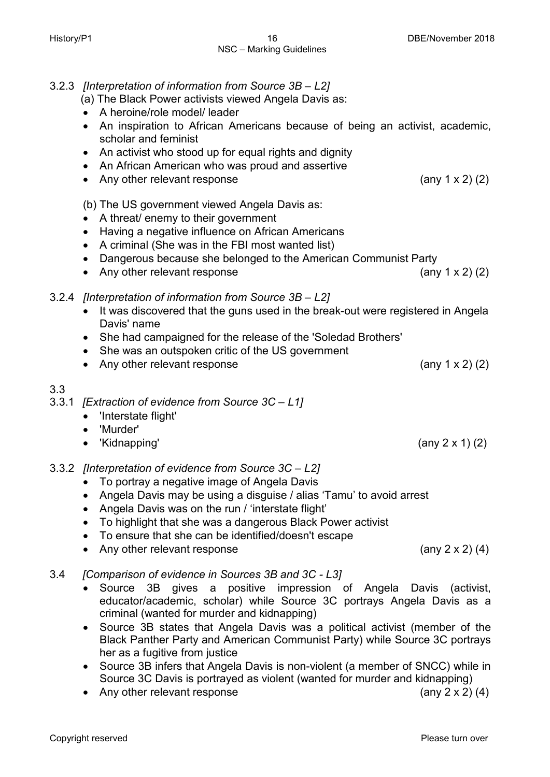## 3.2.3 *[Interpretation of information from Source 3B – L2]*

(a) The Black Power activists viewed Angela Davis as:

- A heroine/role model/ leader
- An inspiration to African Americans because of being an activist, academic, scholar and feminist
- An activist who stood up for equal rights and dignity
- An African American who was proud and assertive
- Any other relevant response (any 1 x 2) (2)
- (b) The US government viewed Angela Davis as:
- A threat/ enemy to their government
- Having a negative influence on African Americans
- A criminal (She was in the FBI most wanted list)
- Dangerous because she belonged to the American Communist Party

• Any other relevant response (any 1 x 2) (2)

## 3.2.4 *[Interpretation of information from Source 3B – L2]*

- It was discovered that the guns used in the break-out were registered in Angela Davis' name
- She had campaigned for the release of the 'Soledad Brothers'
- She was an outspoken critic of the US government
- Any other relevant response (any 1 x 2) (2)

## 3.3

- 3.3.1 *[Extraction of evidence from Source 3C – L1]*
	- 'Interstate flight'
	- 'Murder'
	- 'Kidnapping'  $(2x 1)$  (2)
- 3.3.2 *[Interpretation of evidence from Source 3C – L2]*
	- To portray a negative image of Angela Davis
	- Angela Davis may be using a disguise / alias 'Tamu' to avoid arrest
	- Angela Davis was on the run / 'interstate flight'
	- To highlight that she was a dangerous Black Power activist
	- To ensure that she can be identified/doesn't escape
	- Any other relevant response (any 2 x 2) (4)
- 3.4 *[Comparison of evidence in Sources 3B and 3C - L3]*
	- Source 3B gives a positive impression of Angela Davis (activist, educator/academic, scholar) while Source 3C portrays Angela Davis as a criminal (wanted for murder and kidnapping)
	- Source 3B states that Angela Davis was a political activist (member of the Black Panther Party and American Communist Party) while Source 3C portrays her as a fugitive from justice
	- Source 3B infers that Angela Davis is non-violent (a member of SNCC) while in Source 3C Davis is portrayed as violent (wanted for murder and kidnapping)
	- Any other relevant response (any 2 x 2) (4)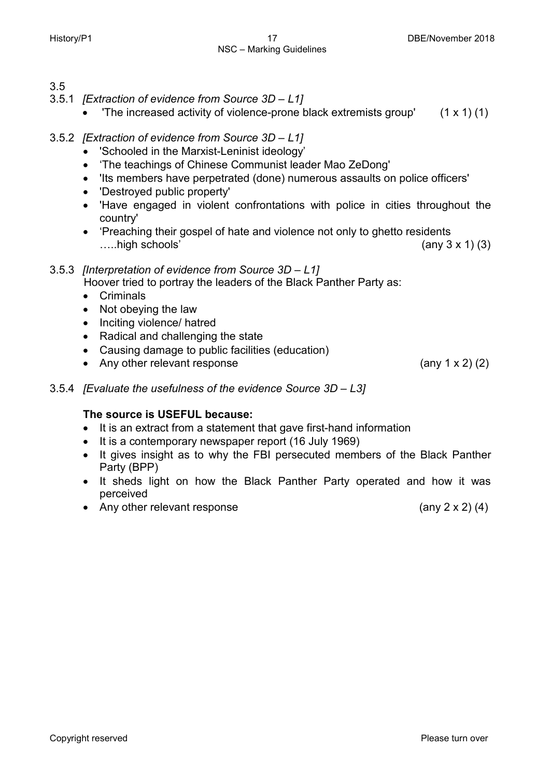## NSC – Marking Guidelines

- 3.5
- 3.5.1 *[Extraction of evidence from Source 3D – L1]*
	- The increased activity of violence-prone black extremists group'  $(1 \times 1)$  (1)
- 3.5.2 *[Extraction of evidence from Source 3D – L1]*
	- 'Schooled in the Marxist-Leninist ideology'
	- 'The teachings of Chinese Communist leader Mao ZeDong'
	- 'Its members have perpetrated (done) numerous assaults on police officers'
	- 'Destroyed public property'
	- 'Have engaged in violent confrontations with police in cities throughout the country'
	- 'Preaching their gospel of hate and violence not only to ghetto residents ....high schools'  $(\text{any } 3 \times 1)$   $(3)$

## 3.5.3 *[Interpretation of evidence from Source 3D – L1]*

Hoover tried to portray the leaders of the Black Panther Party as:

- Criminals
- Not obeying the law
- Inciting violence/ hatred
- Radical and challenging the state
- Causing damage to public facilities (education)
- Any other relevant response (any 1 x 2) (2)
- 3.5.4 *[Evaluate the usefulness of the evidence Source 3D – L3]*

## **The source is USEFUL because:**

- It is an extract from a statement that gave first-hand information
- It is a contemporary newspaper report (16 July 1969)
- It gives insight as to why the FBI persecuted members of the Black Panther Party (BPP)
- It sheds light on how the Black Panther Party operated and how it was perceived
- Any other relevant response (any 2 x 2) (4)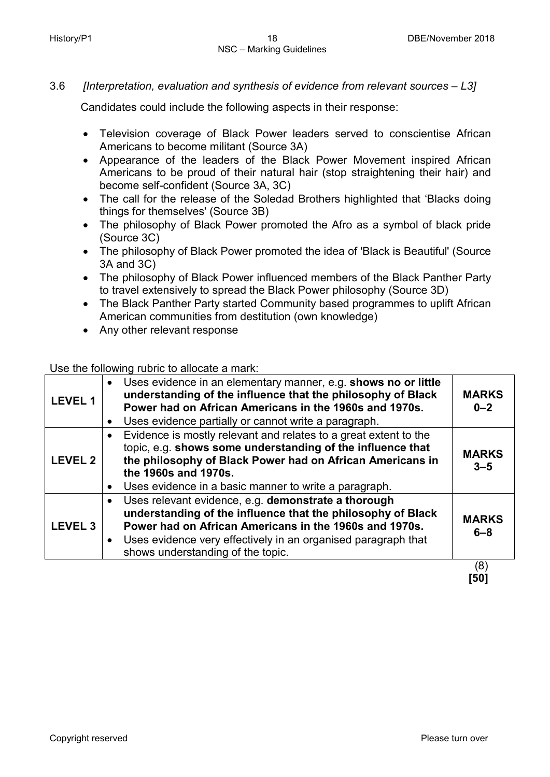## 3.6 *[Interpretation, evaluation and synthesis of evidence from relevant sources – L3]*

Candidates could include the following aspects in their response:

- Television coverage of Black Power leaders served to conscientise African Americans to become militant (Source 3A)
- Appearance of the leaders of the Black Power Movement inspired African Americans to be proud of their natural hair (stop straightening their hair) and become self-confident (Source 3A, 3C)
- The call for the release of the Soledad Brothers highlighted that 'Blacks doing things for themselves' (Source 3B)
- The philosophy of Black Power promoted the Afro as a symbol of black pride (Source 3C)
- The philosophy of Black Power promoted the idea of 'Black is Beautiful' (Source 3A and 3C)
- The philosophy of Black Power influenced members of the Black Panther Party to travel extensively to spread the Black Power philosophy (Source 3D)
- The Black Panther Party started Community based programmes to uplift African American communities from destitution (own knowledge)
- Any other relevant response

Use the following rubric to allocate a mark:

| <b>LEVEL1</b>  | $\bullet$<br>$\bullet$ | Uses evidence in an elementary manner, e.g. shows no or little<br>understanding of the influence that the philosophy of Black<br>Power had on African Americans in the 1960s and 1970s.<br>Uses evidence partially or cannot write a paragraph.                                    | <b>MARKS</b><br>$0 - 2$ |
|----------------|------------------------|------------------------------------------------------------------------------------------------------------------------------------------------------------------------------------------------------------------------------------------------------------------------------------|-------------------------|
| <b>LEVEL 2</b> | $\bullet$<br>$\bullet$ | Evidence is mostly relevant and relates to a great extent to the<br>topic, e.g. shows some understanding of the influence that<br>the philosophy of Black Power had on African Americans in<br>the 1960s and 1970s.<br>Uses evidence in a basic manner to write a paragraph.       | <b>MARKS</b><br>$3 - 5$ |
| <b>LEVEL 3</b> | $\bullet$<br>$\bullet$ | Uses relevant evidence, e.g. demonstrate a thorough<br>understanding of the influence that the philosophy of Black<br>Power had on African Americans in the 1960s and 1970s.<br>Uses evidence very effectively in an organised paragraph that<br>shows understanding of the topic. | <b>MARKS</b><br>$6 - 8$ |
|                |                        |                                                                                                                                                                                                                                                                                    | (8)                     |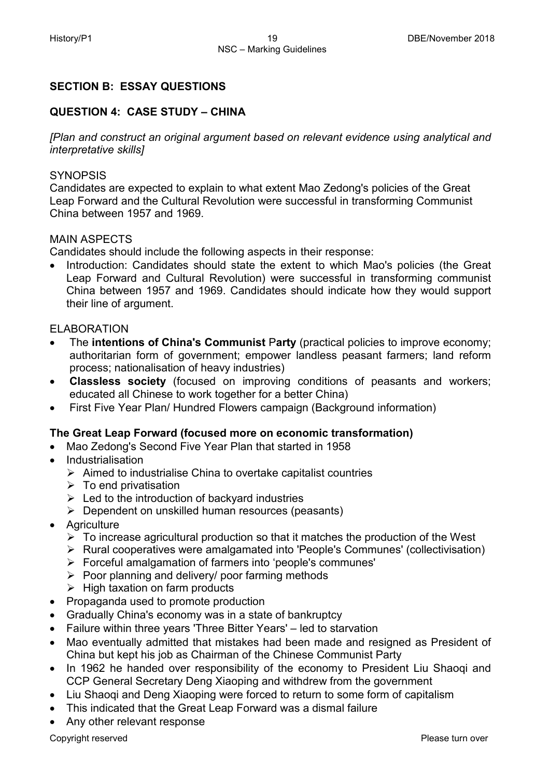## **SECTION B: ESSAY QUESTIONS**

## **QUESTION 4: CASE STUDY – CHINA**

*[Plan and construct an original argument based on relevant evidence using analytical and interpretative skills]*

### **SYNOPSIS**

Candidates are expected to explain to what extent Mao Zedong's policies of the Great Leap Forward and the Cultural Revolution were successful in transforming Communist China between 1957 and 1969.

## MAIN ASPECTS

Candidates should include the following aspects in their response:

• Introduction: Candidates should state the extent to which Mao's policies (the Great Leap Forward and Cultural Revolution) were successful in transforming communist China between 1957 and 1969. Candidates should indicate how they would support their line of argument.

## ELABORATION

- The **intentions of China's Communist** P**arty** (practical policies to improve economy; authoritarian form of government; empower landless peasant farmers; land reform process; nationalisation of heavy industries)
- **Classless society** (focused on improving conditions of peasants and workers; educated all Chinese to work together for a better China)
- First Five Year Plan/ Hundred Flowers campaign (Background information)

## **The Great Leap Forward (focused more on economic transformation)**

- Mao Zedong's Second Five Year Plan that started in 1958
- Industrialisation
	- $\triangleright$  Aimed to industrialise China to overtake capitalist countries
	- $\triangleright$  To end privatisation
	- $\triangleright$  Led to the introduction of backyard industries
	- $\triangleright$  Dependent on unskilled human resources (peasants)
- Agriculture
	- $\triangleright$  To increase agricultural production so that it matches the production of the West
	- Rural cooperatives were amalgamated into 'People's Communes' (collectivisation)
	- Forceful amalgamation of farmers into 'people's communes'
	- $\triangleright$  Poor planning and delivery/ poor farming methods
	- $\triangleright$  High taxation on farm products
- Propaganda used to promote production
- Gradually China's economy was in a state of bankruptcy
- Failure within three years 'Three Bitter Years' led to starvation
- Mao eventually admitted that mistakes had been made and resigned as President of China but kept his job as Chairman of the Chinese Communist Party
- In 1962 he handed over responsibility of the economy to President Liu Shaoqi and CCP General Secretary Deng Xiaoping and withdrew from the government
- Liu Shaogi and Deng Xiaoping were forced to return to some form of capitalism
- This indicated that the Great Leap Forward was a dismal failure
- Any other relevant response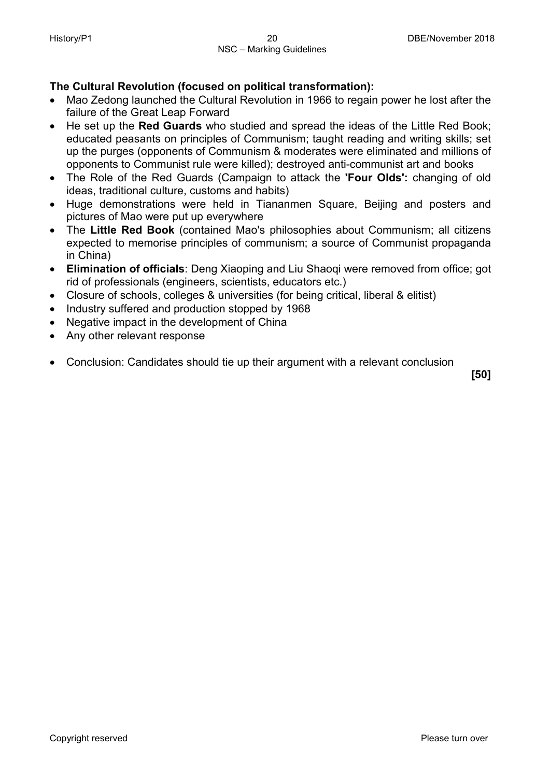## **The Cultural Revolution (focused on political transformation):**

- Mao Zedong launched the Cultural Revolution in 1966 to regain power he lost after the failure of the Great Leap Forward
- He set up the **Red Guards** who studied and spread the ideas of the Little Red Book; educated peasants on principles of Communism; taught reading and writing skills; set up the purges (opponents of Communism & moderates were eliminated and millions of opponents to Communist rule were killed); destroyed anti-communist art and books
- The Role of the Red Guards (Campaign to attack the **'Four Olds':** changing of old ideas, traditional culture, customs and habits)
- Huge demonstrations were held in Tiananmen Square, Beijing and posters and pictures of Mao were put up everywhere
- The **Little Red Book** (contained Mao's philosophies about Communism; all citizens expected to memorise principles of communism; a source of Communist propaganda in China)
- **Elimination of officials**: Deng Xiaoping and Liu Shaoqi were removed from office; got rid of professionals (engineers, scientists, educators etc.)
- Closure of schools, colleges & universities (for being critical, liberal & elitist)
- Industry suffered and production stopped by 1968
- Negative impact in the development of China
- Any other relevant response
- Conclusion: Candidates should tie up their argument with a relevant conclusion

**[50]**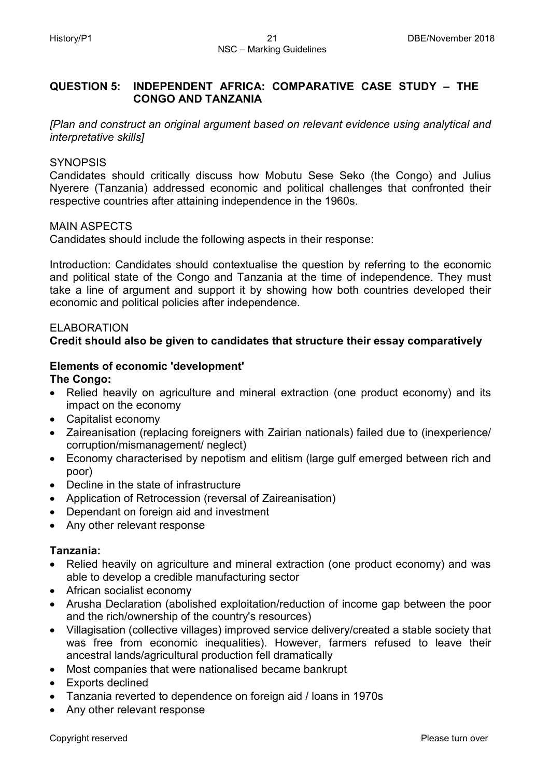## **QUESTION 5: INDEPENDENT AFRICA: COMPARATIVE CASE STUDY – THE CONGO AND TANZANIA**

*[Plan and construct an original argument based on relevant evidence using analytical and interpretative skills]*

## **SYNOPSIS**

Candidates should critically discuss how Mobutu Sese Seko (the Congo) and Julius Nyerere (Tanzania) addressed economic and political challenges that confronted their respective countries after attaining independence in the 1960s.

## MAIN ASPECTS

Candidates should include the following aspects in their response:

Introduction: Candidates should contextualise the question by referring to the economic and political state of the Congo and Tanzania at the time of independence. They must take a line of argument and support it by showing how both countries developed their economic and political policies after independence.

## ELABORATION

## **Credit should also be given to candidates that structure their essay comparatively**

## **Elements of economic 'development'**

**The Congo:**

- Relied heavily on agriculture and mineral extraction (one product economy) and its impact on the economy
- Capitalist economy
- Zaireanisation (replacing foreigners with Zairian nationals) failed due to (inexperience/ corruption/mismanagement/ neglect)
- Economy characterised by nepotism and elitism (large gulf emerged between rich and poor)
- Decline in the state of infrastructure
- Application of Retrocession (reversal of Zaireanisation)
- Dependant on foreign aid and investment
- Any other relevant response

## **Tanzania:**

- Relied heavily on agriculture and mineral extraction (one product economy) and was able to develop a credible manufacturing sector
- African socialist economy
- Arusha Declaration (abolished exploitation/reduction of income gap between the poor and the rich/ownership of the country's resources)
- Villagisation (collective villages) improved service delivery/created a stable society that was free from economic inequalities). However, farmers refused to leave their ancestral lands/agricultural production fell dramatically
- Most companies that were nationalised became bankrupt
- Exports declined
- Tanzania reverted to dependence on foreign aid / loans in 1970s
- Any other relevant response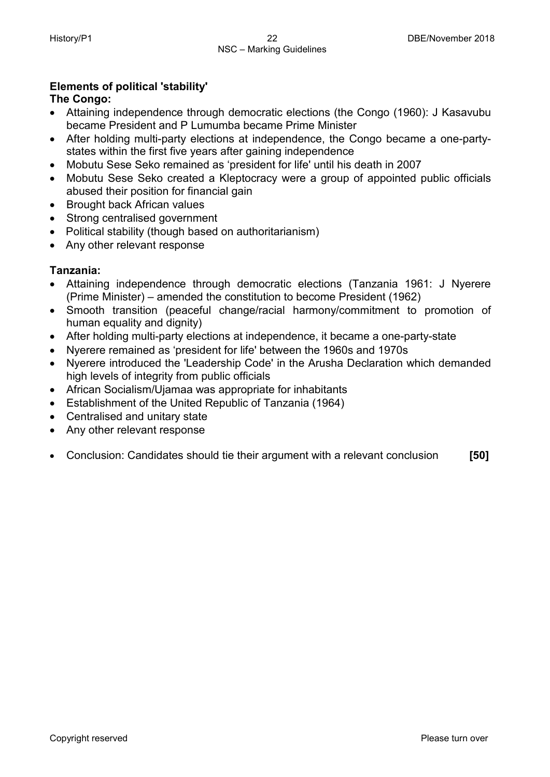## **Elements of political 'stability'**

## **The Congo:**

- Attaining independence through democratic elections (the Congo (1960): J Kasavubu became President and P Lumumba became Prime Minister
- After holding multi-party elections at independence, the Congo became a one-partystates within the first five years after gaining independence
- Mobutu Sese Seko remained as 'president for life' until his death in 2007
- Mobutu Sese Seko created a Kleptocracy were a group of appointed public officials abused their position for financial gain
- Brought back African values
- Strong centralised government
- Political stability (though based on authoritarianism)
- Any other relevant response

## **Tanzania:**

- Attaining independence through democratic elections (Tanzania 1961: J Nyerere (Prime Minister) – amended the constitution to become President (1962)
- Smooth transition (peaceful change/racial harmony/commitment to promotion of human equality and dignity)
- After holding multi-party elections at independence, it became a one-party-state
- Nyerere remained as 'president for life' between the 1960s and 1970s
- Nyerere introduced the 'Leadership Code' in the Arusha Declaration which demanded high levels of integrity from public officials
- African Socialism/Ujamaa was appropriate for inhabitants
- Establishment of the United Republic of Tanzania (1964)
- Centralised and unitary state
- Any other relevant response
- Conclusion: Candidates should tie their argument with a relevant conclusion **[50]**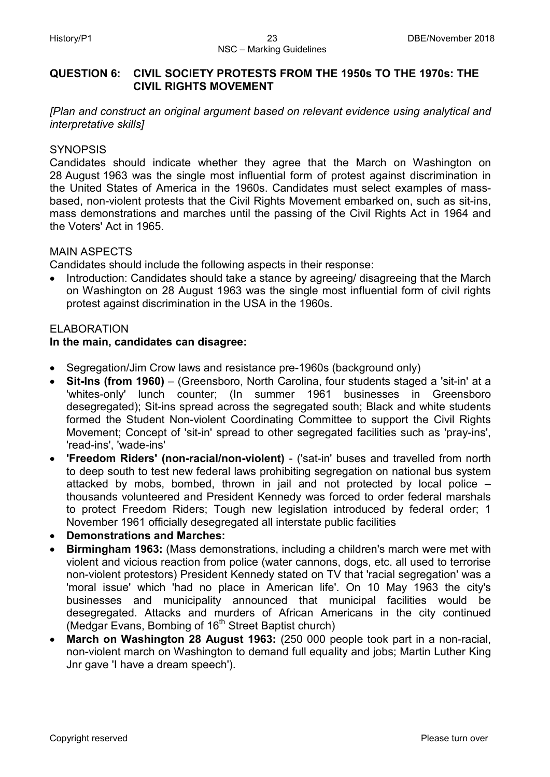## **QUESTION 6: CIVIL SOCIETY PROTESTS FROM THE 1950s TO THE 1970s: THE CIVIL RIGHTS MOVEMENT**

*[Plan and construct an original argument based on relevant evidence using analytical and interpretative skills]*

## **SYNOPSIS**

Candidates should indicate whether they agree that the March on Washington on 28 August 1963 was the single most influential form of protest against discrimination in the United States of America in the 1960s. Candidates must select examples of massbased, non-violent protests that the Civil Rights Movement embarked on, such as sit-ins, mass demonstrations and marches until the passing of the Civil Rights Act in 1964 and the Voters' Act in 1965.

## MAIN ASPECTS

Candidates should include the following aspects in their response:

Introduction: Candidates should take a stance by agreeing/ disagreeing that the March on Washington on 28 August 1963 was the single most influential form of civil rights protest against discrimination in the USA in the 1960s.

## ELABORATION

## **In the main, candidates can disagree:**

- Segregation/Jim Crow laws and resistance pre-1960s (background only)
- **Sit-Ins (from 1960)** (Greensboro, North Carolina, four students staged a 'sit-in' at a 'whites-only' lunch counter; (In summer 1961 businesses in Greensboro desegregated); Sit-ins spread across the segregated south; Black and white students formed the Student Non-violent Coordinating Committee to support the Civil Rights Movement; Concept of 'sit-in' spread to other segregated facilities such as 'pray-ins', 'read-ins', 'wade-ins'
- **'Freedom Riders' (non-racial/non-violent)** ('sat-in' buses and travelled from north to deep south to test new federal laws prohibiting segregation on national bus system attacked by mobs, bombed, thrown in jail and not protected by local police – thousands volunteered and President Kennedy was forced to order federal marshals to protect Freedom Riders; Tough new legislation introduced by federal order; 1 November 1961 officially desegregated all interstate public facilities
- **Demonstrations and Marches:**
- **Birmingham 1963:** (Mass demonstrations, including a children's march were met with violent and vicious reaction from police (water cannons, dogs, etc. all used to terrorise non-violent protestors) President Kennedy stated on TV that 'racial segregation' was a 'moral issue' which 'had no place in American life'. On 10 May 1963 the city's businesses and municipality announced that municipal facilities would be desegregated. Attacks and murders of African Americans in the city continued (Medgar Evans, Bombing of  $16<sup>th</sup>$  Street Baptist church)
- **March on Washington 28 August 1963:** (250 000 people took part in a non-racial, non-violent march on Washington to demand full equality and jobs; Martin Luther King Jnr gave 'I have a dream speech').